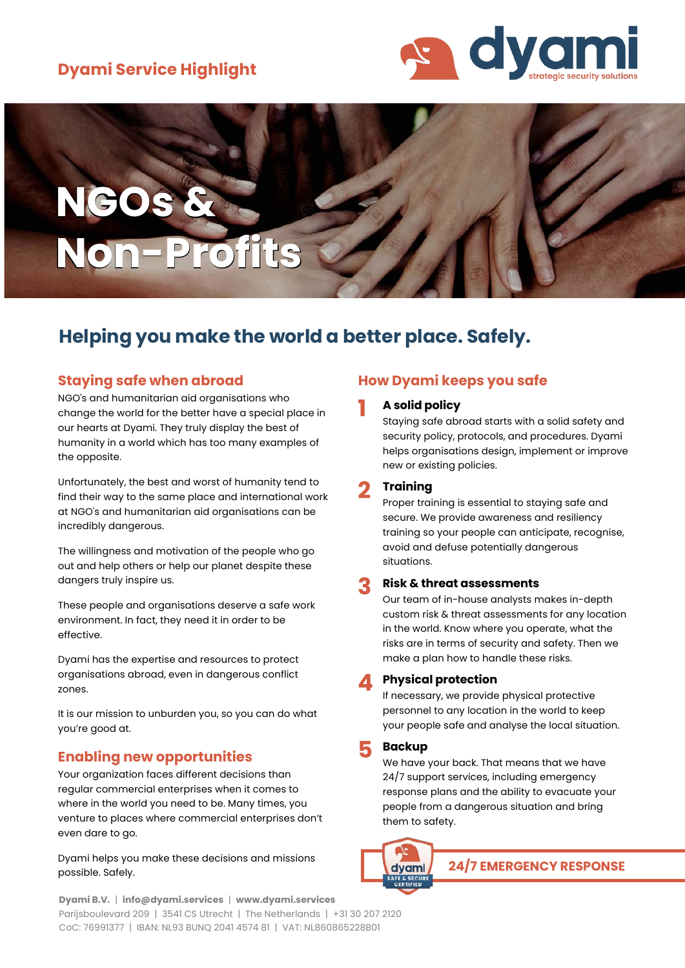# **Dyami Service Highlight**



# **NGOs & Non-Profits**

# **Helping you make the world a better place. Safely.**

# **Staying safe when abroad**

NGO's and humanitarian aid organisations who change the world for the better have a special place in our hearts at Dyami. They truly display the best of humanity in a world which has too many examples of the opposite.

Unfortunately, the best and worst of humanity tend to find their way to the same place and international work at NGO's and humanitarian aid organisations can be incredibly dangerous.

The willingness and motivation of the people who go out and help others or help our planet despite these dangers truly inspire us.

These people and organisations deserve a safe work environment. In fact, they need it in order to be effective.

Dyami has the expertise and resources to protect organisations abroad, even in dangerous conflict zones.

It is our mission to unburden you, so you can do what you're good at.

# **Enabling new opportunities**

Your organization faces different decisions than regular commercial enterprises when it comes to where in the world you need to be. Many times, you venture to places where commercial enterprises don't even dare to go.

Dyami helps you make these decisions and missions possible. Safely.

#### **Dyami B.V.** | **info@dyami.services** | **www.dyami.services** Parijsboulevard 209 | 3541 CS Utrecht | The Netherlands | +31 30 207 2120 CoC: 76991377 | IBAN: NL93 BUNQ 2041 4574 81 | VAT: NL860865228B01

# **How Dyami keeps you safe**

#### **1 A solid policy**

Staying safe abroad starts with a solid safety and security policy, protocols, and procedures. Dyami helps organisations design, implement or improve new or existing policies.

## **2 Training**

Proper training is essential to staying safe and secure. We provide awareness and resiliency training so your people can anticipate, recognise, avoid and defuse potentially dangerous situations.

#### **3 Risk & threat assessments**

Our team of in-house analysts makes in-depth custom risk & threat assessments for any location in the world. Know where you operate, what the risks are in terms of security and safety. Then we make a plan how to handle these risks.

#### **4 Physical protection**

If necessary, we provide physical protective personnel to any location in the world to keep your people safe and analyse the local situation.

#### **5 Backup**

We have your back. That means that we have 24/7 support services, including emergency response plans and the ability to evacuate your people from a dangerous situation and bring them to safety.

dvam

**24/7 EMERGENCY RESPONSE**